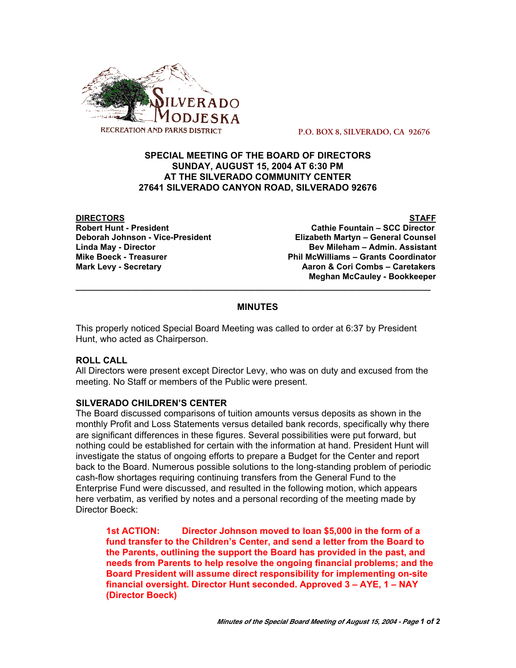

 **P.O. BOX 8, SILVERADO, CA 92676**

#### **SPECIAL MEETING OF THE BOARD OF DIRECTORS SUNDAY, AUGUST 15, 2004 AT 6:30 PM AT THE SILVERADO COMMUNITY CENTER 27641 SILVERADO CANYON ROAD, SILVERADO 92676**

**DIRECTORS STAFF Robert Hunt - President Cathie Fountain – SCC Director Elizabeth Martyn – General Counsel Linda May - Director Bev Mileham – Admin. Assistant Mike Boeck - Treasurer Phil McWilliams – Grants Coordinator Mark Levy - Secretary Combs – Caretakers** Aaron & Cori Combs – Caretakers  **Meghan McCauley - Bookkeeper**

# **MINUTES**

**\_\_\_\_\_\_\_\_\_\_\_\_\_\_\_\_\_\_\_\_\_\_\_\_\_\_\_\_\_\_\_\_\_\_\_\_\_\_\_\_\_\_\_\_\_\_\_\_\_\_\_\_\_\_\_\_\_\_\_\_\_\_\_\_\_\_\_\_\_\_\_\_\_\_\_\_\_**

This properly noticed Special Board Meeting was called to order at 6:37 by President Hunt, who acted as Chairperson.

# **ROLL CALL**

All Directors were present except Director Levy, who was on duty and excused from the meeting. No Staff or members of the Public were present.

# **SILVERADO CHILDREN'S CENTER**

The Board discussed comparisons of tuition amounts versus deposits as shown in the monthly Profit and Loss Statements versus detailed bank records, specifically why there are significant differences in these figures. Several possibilities were put forward, but nothing could be established for certain with the information at hand. President Hunt will investigate the status of ongoing efforts to prepare a Budget for the Center and report back to the Board. Numerous possible solutions to the long-standing problem of periodic cash-flow shortages requiring continuing transfers from the General Fund to the Enterprise Fund were discussed, and resulted in the following motion, which appears here verbatim, as verified by notes and a personal recording of the meeting made by Director Boeck:

**1st ACTION: Director Johnson moved to loan \$5,000 in the form of a fund transfer to the Children's Center, and send a letter from the Board to the Parents, outlining the support the Board has provided in the past, and needs from Parents to help resolve the ongoing financial problems; and the Board President will assume direct responsibility for implementing on-site financial oversight. Director Hunt seconded. Approved 3 – AYE, 1 – NAY (Director Boeck)**